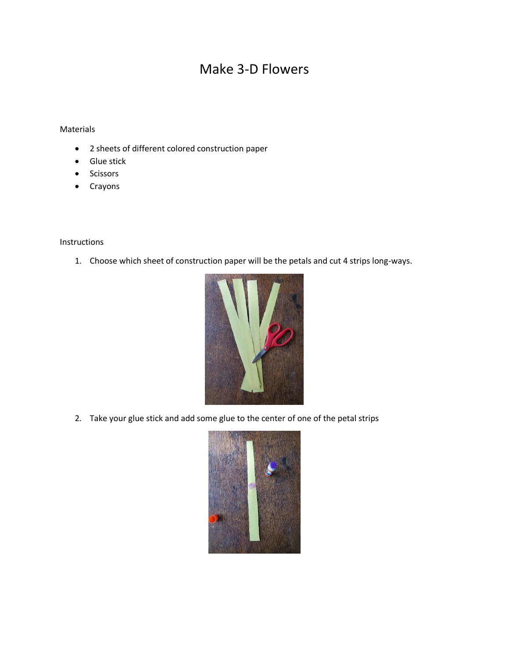## Make 3-D Flowers

## Materials

- 2 sheets of different colored construction paper
- Glue stick
- **Scissors**
- Crayons

## Instructions

1. Choose which sheet of construction paper will be the petals and cut 4 strips long-ways.



2. Take your glue stick and add some glue to the center of one of the petal strips

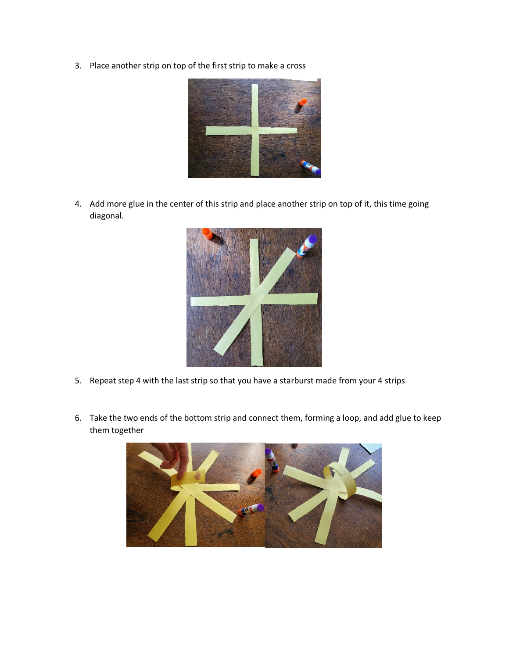3. Place another strip on top of the first strip to make a cross



4. Add more glue in the center of this strip and place another strip on top of it, this time going diagonal.



- 5. Repeat step 4 with the last strip so that you have a starburst made from your 4 strips
- 6. Take the two ends of the bottom strip and connect them, forming a loop, and add glue to keep them together

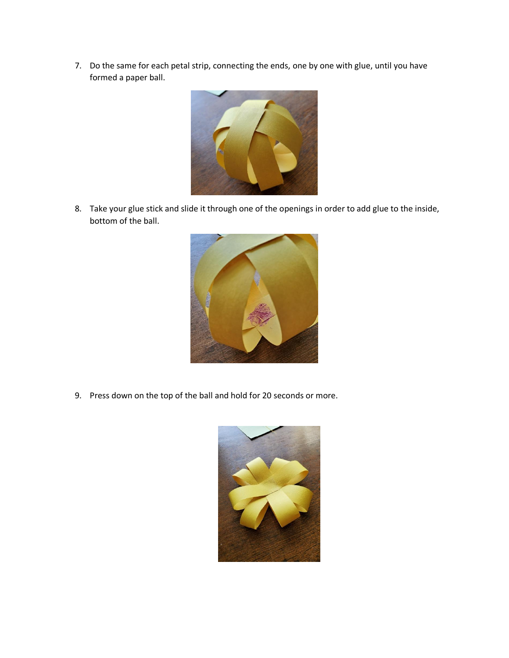7. Do the same for each petal strip, connecting the ends, one by one with glue, until you have formed a paper ball.



8. Take your glue stick and slide it through one of the openings in order to add glue to the inside, bottom of the ball.



9. Press down on the top of the ball and hold for 20 seconds or more.

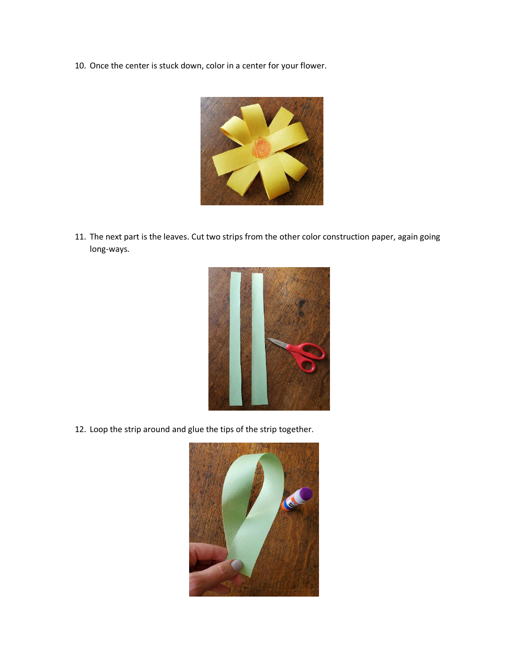10. Once the center is stuck down, color in a center for your flower.



11. The next part is the leaves. Cut two strips from the other color construction paper, again going long-ways.



12. Loop the strip around and glue the tips of the strip together.